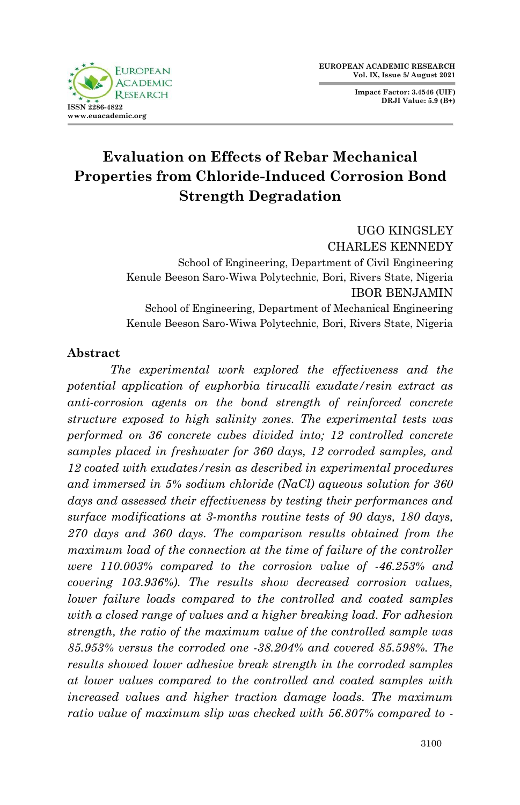**Impact Factor: 3.4546 (UIF) DRJI Value: 5.9 (B+)**



# **Evaluation on Effects of Rebar Mechanical Properties from Chloride-Induced Corrosion Bond Strength Degradation**

UGO KINGSLEY CHARLES KENNEDY School of Engineering, Department of Civil Engineering Kenule Beeson Saro-Wiwa Polytechnic, Bori, Rivers State, Nigeria IBOR BENJAMIN School of Engineering, Department of Mechanical Engineering Kenule Beeson Saro-Wiwa Polytechnic, Bori, Rivers State, Nigeria

# **Abstract**

*The experimental work explored the effectiveness and the potential application of euphorbia tirucalli exudate/resin extract as anti-corrosion agents on the bond strength of reinforced concrete structure exposed to high salinity zones. The experimental tests was performed on 36 concrete cubes divided into; 12 controlled concrete samples placed in freshwater for 360 days, 12 corroded samples, and 12 coated with exudates/resin as described in experimental procedures and immersed in 5% sodium chloride (NaCl) aqueous solution for 360 days and assessed their effectiveness by testing their performances and surface modifications at 3-months routine tests of 90 days, 180 days, 270 days and 360 days. The comparison results obtained from the maximum load of the connection at the time of failure of the controller were 110.003% compared to the corrosion value of -46.253% and covering 103.936%). The results show decreased corrosion values, lower failure loads compared to the controlled and coated samples with a closed range of values and a higher breaking load. For adhesion strength, the ratio of the maximum value of the controlled sample was 85.953% versus the corroded one -38.204% and covered 85.598%. The results showed lower adhesive break strength in the corroded samples at lower values compared to the controlled and coated samples with increased values and higher traction damage loads. The maximum ratio value of maximum slip was checked with 56.807% compared to -*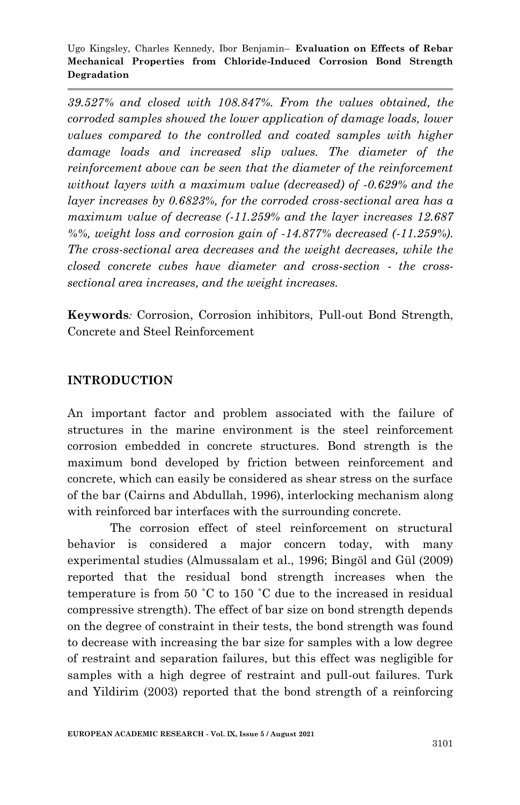*39.527% and closed with 108.847%. From the values obtained, the corroded samples showed the lower application of damage loads, lower values compared to the controlled and coated samples with higher damage loads and increased slip values. The diameter of the reinforcement above can be seen that the diameter of the reinforcement without layers with a maximum value (decreased) of -0.629% and the layer increases by 0.6823%, for the corroded cross-sectional area has a maximum value of decrease (-11.259% and the layer increases 12.687 %%, weight loss and corrosion gain of -14.877% decreased (-11.259%). The cross-sectional area decreases and the weight decreases, while the closed concrete cubes have diameter and cross-section - the crosssectional area increases, and the weight increases.*

**Keywords***:* Corrosion, Corrosion inhibitors, Pull-out Bond Strength, Concrete and Steel Reinforcement

### **INTRODUCTION**

An important factor and problem associated with the failure of structures in the marine environment is the steel reinforcement corrosion embedded in concrete structures. Bond strength is the maximum bond developed by friction between reinforcement and concrete, which can easily be considered as shear stress on the surface of the bar (Cairns and Abdullah, 1996), interlocking mechanism along with reinforced bar interfaces with the surrounding concrete.

The corrosion effect of steel reinforcement on structural behavior is considered a major concern today, with many experimental studies (Almussalam et al., 1996; Bingöl and Gül (2009) reported that the residual bond strength increases when the temperature is from 50 ˚C to 150 ˚C due to the increased in residual compressive strength). The effect of bar size on bond strength depends on the degree of constraint in their tests, the bond strength was found to decrease with increasing the bar size for samples with a low degree of restraint and separation failures, but this effect was negligible for samples with a high degree of restraint and pull-out failures. Turk and Yildirim (2003) reported that the bond strength of a reinforcing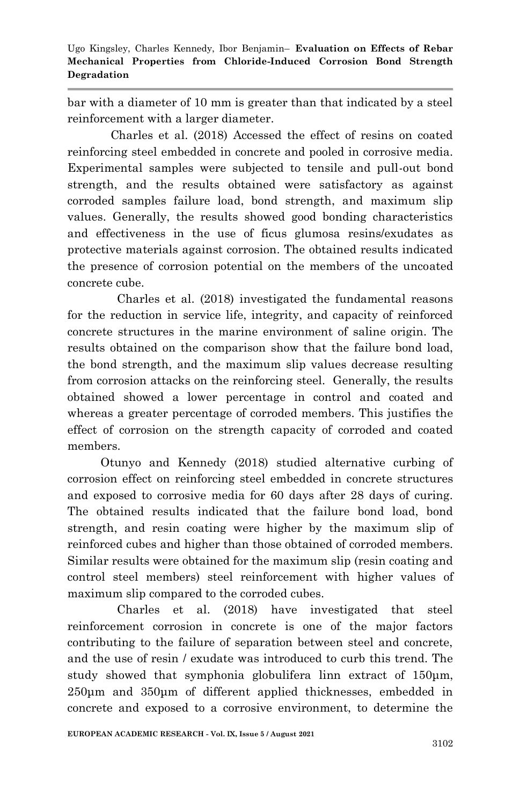bar with a diameter of 10 mm is greater than that indicated by a steel reinforcement with a larger diameter.

 Charles et al. (2018) Accessed the effect of resins on coated reinforcing steel embedded in concrete and pooled in corrosive media. Experimental samples were subjected to tensile and pull-out bond strength, and the results obtained were satisfactory as against corroded samples failure load, bond strength, and maximum slip values. Generally, the results showed good bonding characteristics and effectiveness in the use of ficus glumosa resins/exudates as protective materials against corrosion. The obtained results indicated the presence of corrosion potential on the members of the uncoated concrete cube.

 Charles et al. (2018) investigated the fundamental reasons for the reduction in service life, integrity, and capacity of reinforced concrete structures in the marine environment of saline origin. The results obtained on the comparison show that the failure bond load, the bond strength, and the maximum slip values decrease resulting from corrosion attacks on the reinforcing steel. Generally, the results obtained showed a lower percentage in control and coated and whereas a greater percentage of corroded members. This justifies the effect of corrosion on the strength capacity of corroded and coated members.

 Otunyo and Kennedy (2018) studied alternative curbing of corrosion effect on reinforcing steel embedded in concrete structures and exposed to corrosive media for 60 days after 28 days of curing. The obtained results indicated that the failure bond load, bond strength, and resin coating were higher by the maximum slip of reinforced cubes and higher than those obtained of corroded members. Similar results were obtained for the maximum slip (resin coating and control steel members) steel reinforcement with higher values of maximum slip compared to the corroded cubes.

 Charles et al. (2018) have investigated that steel reinforcement corrosion in concrete is one of the major factors contributing to the failure of separation between steel and concrete, and the use of resin / exudate was introduced to curb this trend. The study showed that symphonia globulifera linn extract of 150μm, 250μm and 350μm of different applied thicknesses, embedded in concrete and exposed to a corrosive environment, to determine the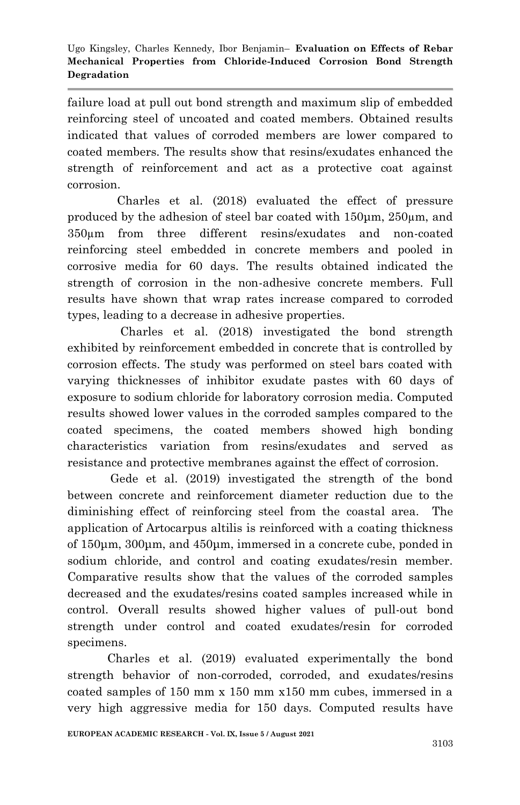failure load at pull out bond strength and maximum slip of embedded reinforcing steel of uncoated and coated members. Obtained results indicated that values of corroded members are lower compared to coated members. The results show that resins/exudates enhanced the strength of reinforcement and act as a protective coat against corrosion.

 Charles et al. (2018) evaluated the effect of pressure produced by the adhesion of steel bar coated with 150μm, 250µm, and 350µm from three different resins/exudates and non-coated reinforcing steel embedded in concrete members and pooled in corrosive media for 60 days. The results obtained indicated the strength of corrosion in the non-adhesive concrete members. Full results have shown that wrap rates increase compared to corroded types, leading to a decrease in adhesive properties.

 Charles et al. (2018) investigated the bond strength exhibited by reinforcement embedded in concrete that is controlled by corrosion effects. The study was performed on steel bars coated with varying thicknesses of inhibitor exudate pastes with 60 days of exposure to sodium chloride for laboratory corrosion media. Computed results showed lower values in the corroded samples compared to the coated specimens, the coated members showed high bonding characteristics variation from resins/exudates and served as resistance and protective membranes against the effect of corrosion.

 Gede et al. (2019) investigated the strength of the bond between concrete and reinforcement diameter reduction due to the diminishing effect of reinforcing steel from the coastal area. The application of Artocarpus altilis is reinforced with a coating thickness of 150μm, 300μm, and 450μm, immersed in a concrete cube, ponded in sodium chloride, and control and coating exudates/resin member. Comparative results show that the values of the corroded samples decreased and the exudates/resins coated samples increased while in control. Overall results showed higher values of pull-out bond strength under control and coated exudates/resin for corroded specimens.

 Charles et al. (2019) evaluated experimentally the bond strength behavior of non-corroded, corroded, and exudates/resins coated samples of 150 mm x 150 mm x150 mm cubes, immersed in a very high aggressive media for 150 days. Computed results have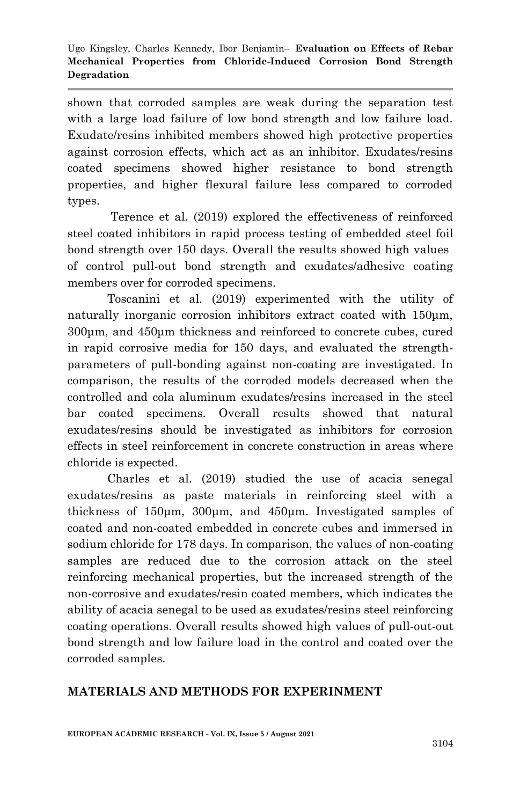shown that corroded samples are weak during the separation test with a large load failure of low bond strength and low failure load. Exudate/resins inhibited members showed high protective properties against corrosion effects, which act as an inhibitor. Exudates/resins coated specimens showed higher resistance to bond strength properties, and higher flexural failure less compared to corroded types.

 Terence et al. (2019) explored the effectiveness of reinforced steel coated inhibitors in rapid process testing of embedded steel foil bond strength over 150 days. Overall the results showed high values of control pull-out bond strength and exudates/adhesive coating members over for corroded specimens.

 Toscanini et al. (2019) experimented with the utility of naturally inorganic corrosion inhibitors extract coated with 150μm, 300μm, and 450μm thickness and reinforced to concrete cubes, cured in rapid corrosive media for 150 days, and evaluated the strengthparameters of pull-bonding against non-coating are investigated. In comparison, the results of the corroded models decreased when the controlled and cola aluminum exudates/resins increased in the steel bar coated specimens. Overall results showed that natural exudates/resins should be investigated as inhibitors for corrosion effects in steel reinforcement in concrete construction in areas where chloride is expected.

 Charles et al. (2019) studied the use of acacia senegal exudates/resins as paste materials in reinforcing steel with a thickness of 150μm, 300μm, and 450μm. Investigated samples of coated and non-coated embedded in concrete cubes and immersed in sodium chloride for 178 days. In comparison, the values of non-coating samples are reduced due to the corrosion attack on the steel reinforcing mechanical properties, but the increased strength of the non-corrosive and exudates/resin coated members, which indicates the ability of acacia senegal to be used as exudates/resins steel reinforcing coating operations. Overall results showed high values of pull-out-out bond strength and low failure load in the control and coated over the corroded samples.

# **MATERIALS AND METHODS FOR EXPERINMENT**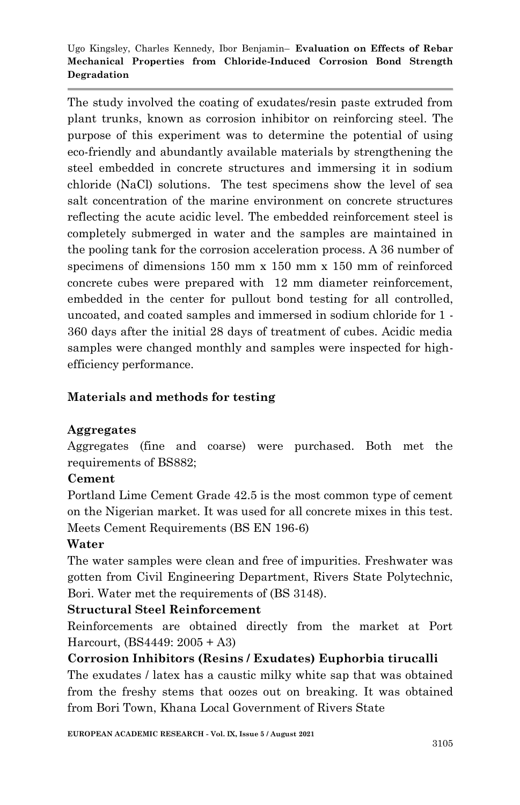The study involved the coating of exudates/resin paste extruded from plant trunks, known as corrosion inhibitor on reinforcing steel. The purpose of this experiment was to determine the potential of using eco-friendly and abundantly available materials by strengthening the steel embedded in concrete structures and immersing it in sodium chloride (NaCl) solutions. The test specimens show the level of sea salt concentration of the marine environment on concrete structures reflecting the acute acidic level. The embedded reinforcement steel is completely submerged in water and the samples are maintained in the pooling tank for the corrosion acceleration process. A 36 number of specimens of dimensions 150 mm x 150 mm x 150 mm of reinforced concrete cubes were prepared with 12 mm diameter reinforcement, embedded in the center for pullout bond testing for all controlled, uncoated, and coated samples and immersed in sodium chloride for 1 - 360 days after the initial 28 days of treatment of cubes. Acidic media samples were changed monthly and samples were inspected for highefficiency performance.

# **Materials and methods for testing**

# **Aggregates**

Aggregates (fine and coarse) were purchased. Both met the requirements of BS882;

# **Cement**

Portland Lime Cement Grade 42.5 is the most common type of cement on the Nigerian market. It was used for all concrete mixes in this test. Meets Cement Requirements (BS EN 196-6)

# **Water**

The water samples were clean and free of impurities. Freshwater was gotten from Civil Engineering Department, Rivers State Polytechnic, Bori. Water met the requirements of (BS 3148).

# **Structural Steel Reinforcement**

Reinforcements are obtained directly from the market at Port Harcourt, (BS4449: 2005 + A3)

# **Corrosion Inhibitors (Resins / Exudates) Euphorbia tirucalli**

The exudates / latex has a caustic milky white sap that was obtained from the freshy stems that oozes out on breaking. It was obtained from Bori Town, Khana Local Government of Rivers State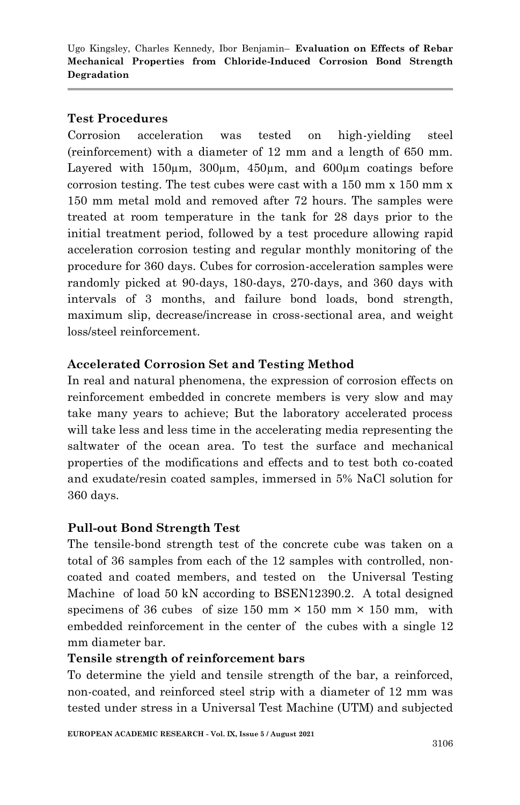# **Test Procedures**

Corrosion acceleration was tested on high-yielding steel (reinforcement) with a diameter of 12 mm and a length of 650 mm. Layered with 150µm, 300µm, 450µm, and 600µm coatings before corrosion testing. The test cubes were cast with a 150 mm x 150 mm x 150 mm metal mold and removed after 72 hours. The samples were treated at room temperature in the tank for 28 days prior to the initial treatment period, followed by a test procedure allowing rapid acceleration corrosion testing and regular monthly monitoring of the procedure for 360 days. Cubes for corrosion-acceleration samples were randomly picked at 90-days, 180-days, 270-days, and 360 days with intervals of 3 months, and failure bond loads, bond strength, maximum slip, decrease/increase in cross-sectional area, and weight loss/steel reinforcement.

# **Accelerated Corrosion Set and Testing Method**

In real and natural phenomena, the expression of corrosion effects on reinforcement embedded in concrete members is very slow and may take many years to achieve; But the laboratory accelerated process will take less and less time in the accelerating media representing the saltwater of the ocean area. To test the surface and mechanical properties of the modifications and effects and to test both co-coated and exudate/resin coated samples, immersed in 5% NaCl solution for 360 days.

# **Pull-out Bond Strength Test**

The tensile-bond strength test of the concrete cube was taken on a total of 36 samples from each of the 12 samples with controlled, noncoated and coated members, and tested on the Universal Testing Machine of load 50 kN according to BSEN12390.2. A total designed specimens of 36 cubes of size 150 mm  $\times$  150 mm  $\times$  150 mm, with embedded reinforcement in the center of the cubes with a single 12 mm diameter bar.

# **Tensile strength of reinforcement bars**

To determine the yield and tensile strength of the bar, a reinforced, non-coated, and reinforced steel strip with a diameter of 12 mm was tested under stress in a Universal Test Machine (UTM) and subjected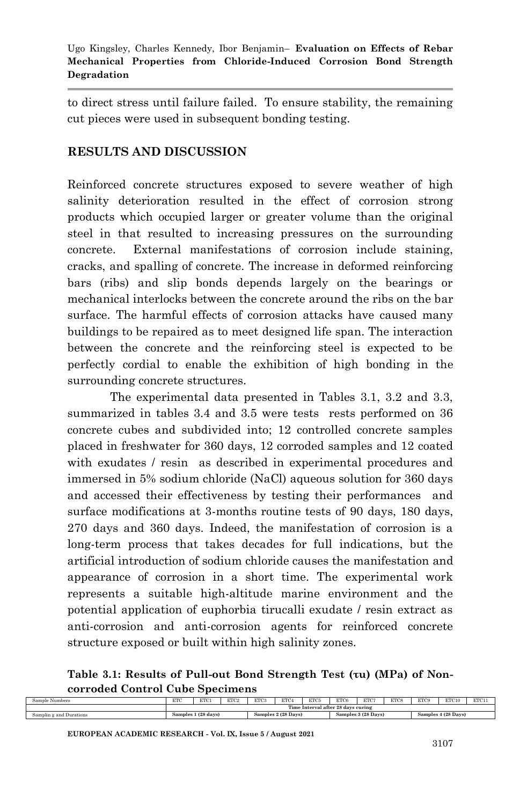to direct stress until failure failed. To ensure stability, the remaining cut pieces were used in subsequent bonding testing.

# **RESULTS AND DISCUSSION**

Reinforced concrete structures exposed to severe weather of high salinity deterioration resulted in the effect of corrosion strong products which occupied larger or greater volume than the original steel in that resulted to increasing pressures on the surrounding concrete. External manifestations of corrosion include staining, cracks, and spalling of concrete. The increase in deformed reinforcing bars (ribs) and slip bonds depends largely on the bearings or mechanical interlocks between the concrete around the ribs on the bar surface. The harmful effects of corrosion attacks have caused many buildings to be repaired as to meet designed life span. The interaction between the concrete and the reinforcing steel is expected to be perfectly cordial to enable the exhibition of high bonding in the surrounding concrete structures.

The experimental data presented in Tables 3.1, 3.2 and 3.3, summarized in tables 3.4 and 3.5 were tests rests performed on 36 concrete cubes and subdivided into; 12 controlled concrete samples placed in freshwater for 360 days, 12 corroded samples and 12 coated with exudates / resin as described in experimental procedures and immersed in 5% sodium chloride (NaCl) aqueous solution for 360 days and accessed their effectiveness by testing their performances and surface modifications at 3-months routine tests of 90 days, 180 days, 270 days and 360 days. Indeed, the manifestation of corrosion is a long-term process that takes decades for full indications, but the artificial introduction of sodium chloride causes the manifestation and appearance of corrosion in a short time. The experimental work represents a suitable high-altitude marine environment and the potential application of euphorbia tirucalli exudate / resin extract as anti-corrosion and anti-corrosion agents for reinforced concrete structure exposed or built within high salinity zones.

**Table 3.1: Results of Pull-out Bond Strength Test (τu) (MPa) of Noncorroded Control Cube Specimens**

| sample<br>: Numbers     | ETC | ETC                                                | ETC <sub>2</sub> | ETC3 | ETC4                | ETC5 | ETC6 | ETC7                | <b>ETCS</b> | ETC <sub>9</sub>        | ETC10 | ETC11 |
|-------------------------|-----|----------------------------------------------------|------------------|------|---------------------|------|------|---------------------|-------------|-------------------------|-------|-------|
|                         |     | <b>COLOR</b><br>Time Interval after 28 days curing |                  |      |                     |      |      |                     |             |                         |       |       |
| Samplin g and Durations |     | . 1 (28 days)<br>Samples                           |                  |      | Samples 2 (28 Days) |      |      | Samples 3 (28 Days) |             | $4(28$ Days)<br>samples |       |       |

**EUROPEAN ACADEMIC RESEARCH - Vol. IX, Issue 5 / August 2021**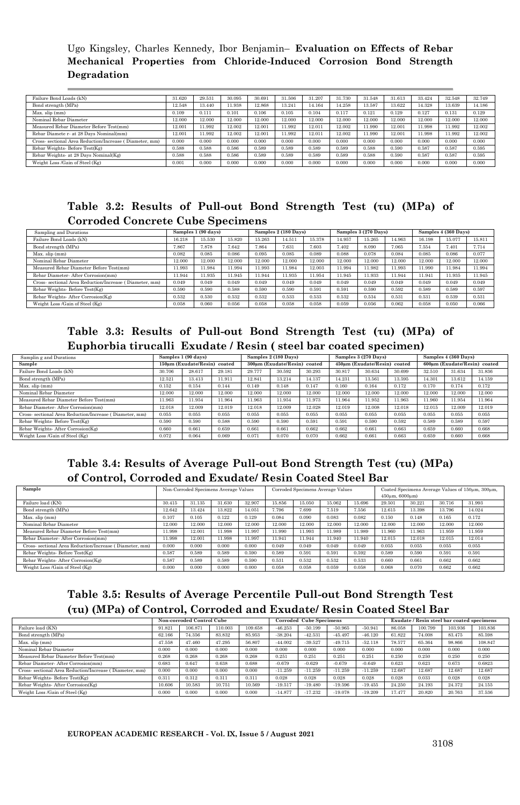| Failure Bond Loads (kN)                                 | 31.620 | 29.531 | 30.095 | 30.691 | 31.506 | 31.207 | 31.730 | 31.548 | 31.613 | 33.424 | 32.548 | 32.749 |
|---------------------------------------------------------|--------|--------|--------|--------|--------|--------|--------|--------|--------|--------|--------|--------|
| Bond strength (MPa)                                     | 12.548 | 13.440 | 1.938  | 12.868 | 13.241 | 14.164 | 14.258 | 13.587 | 13.622 | 14.328 | 13.639 | 4.186  |
| Max. slip (mm)                                          | 0.109  | 0.111  | 0.101  | 0.106  | 0.105  | 0.104  | 0.117  | 0.121  | 0.129  | 0.127  | 0.131  | 0.129  |
| Nominal Rebar Diameter                                  | 12.000 | 12.000 | 12.000 | 12.000 | 12.000 | 12.000 | 12.000 | 12.000 | 12.000 | 12.000 | 12.000 | 12.000 |
| Measured Rebar Diameter Before Test(mm)                 | 12.001 | 11.992 | 12.002 | 12.001 | 11.992 | 12.011 | 12.002 | 11.990 | 12.001 | 11.998 | 11.992 | 12.002 |
| Rebar Diamete r- at 28 Days Nominal(mm)                 | 12.001 | 11.992 | 12.002 | 12.001 | 11.992 | 12.011 | 12.002 | 11.990 | 12.001 | 11.998 | 11.992 | 12.002 |
| Cross- sectional Area Reduction/Increase (Diameter, mm) | 0.000  | 0.000  | 0.000  | 0.000  | 0.000  | 0.000  | 0.000  | 0.000  | 0.000  | 0.000  | 0.000  | 0.000  |
| Rebar Weights- Before Test(Kg)                          | 0.588  | 0.588  | 0.586  | 0.589  | 0.589  | 0.589  | 0.589  | 0.588  | 0.590  | 0.587  | 0.587  | 0.595  |
| Rebar Weights- at 28 Days Nominal(Kg)                   | 0.588  | 0.588  | 0.586  | 0.589  | 0.589  | 0.589  | 0.589  | 0.588  | 0.590  | 0.587  | 0.587  | 0.595  |
| Weight Loss /Gain of Steel (Kg)                         | 0.001  | 0.000  | 0.000  | 0.000  | 0.000  | 0.000  | 0.000  | 0.000  | 0.000  | 0.000  | 0.000  | 0.000  |

#### **Table 3.2: Results of Pull-out Bond Strength Test (τu) (MPa) of Corroded Concrete Cube Specimens**

| Sampling and Durations                                  |        | Samples 1 (90 days) |        |        | Samples 2 (180 Days) |        |        | Samples 3 (270 Days) |        | Samples 4 (360 Days) |        |        |
|---------------------------------------------------------|--------|---------------------|--------|--------|----------------------|--------|--------|----------------------|--------|----------------------|--------|--------|
| Failure Bond Loads (kN)                                 | 16.218 | 15.530              | 15.820 | 15.263 | 14.511               | 15.378 | 14.957 | 15.265               | 14.963 | 16.198               | 15.077 | 15.811 |
| Bond strength (MPa)                                     | 7.867  | 7.878               | 7.642  | 7.864  | 7.631                | 7.603  | 7.402  | 8.090                | 7.065  | 7.554                | 7.401  | 7.714  |
| Max. slip (mm)                                          | 0.082  | 0.085               | 0.086  | 0.095  | 0.085                | 0.089  | 0.088  | 0.078                | 0.084  | 0.085                | 0.086  | 0.077  |
| Nominal Rebar Diameter                                  | 12.000 | 12.000              | 12.000 | 12.000 | 12.000               | 12.000 | 12.000 | 12.000               | 12.000 | 12.000               | 12.000 | 12.000 |
| Measured Rebar Diameter Before Test(mm)                 | 11.993 | 11.984              | 11.994 | 11.993 | 11.984               | 12.003 | 11.994 | 11.982               | 1.993  | 11.990               | 11.98  | 11.994 |
| Rebar Diameter- After Corrosion(mm)                     | 11.944 | 11.935              | 11.945 | 11.944 | 11.935               | 1.954  | 11.945 | 11.933               | 1.944  | 11.941               | 11.935 | 11.945 |
| Cross- sectional Area Reduction/Increase (Diameter, mm) | 0.049  | 0.049               | 0.049  | 0.049  | 0.049                | 0.049  | 0.049  | 0.049                | 0.049  | 0.049                | 0.049  | 0.049  |
| Rebar Weights- Before Test(Kg)                          | 0.590  | 0.590               | 0.588  | 0.590  | 0.590                | 0.591  | 0.591  | 0.590                | 0.592  | 0.589                | 0.589  | 0.597  |
| Rebar Weights- After Corrosion(Kg)                      | 0.532  | 0.530               | 0.532  | 0.532  | 0.533                | 0.533  | 0.532  | 0.534                | 0.531  | 0.531                | 0.539  | 0.531  |
| Weight Loss /Gain of Steel (Kg)                         | 0.058  | 0.060               | 0.056  | 0.058  | 0.058                | 0.058  | 0.059  | 0.056                | 0.062  | 0.058                | 0.050  | 0.066  |

#### **Table 3.3: Results of Pull-out Bond Strength Test (τu) (MPa) of Euphorbia tirucalli Exudate / Resin ( steel bar coated specimen)**

| Samplin g and Durations                                |        | Samples 1 (90 days)          |        |        | Samples 2 (180 Days)         |        |        | Samples 3 (270 Days)         |        | Samples 4 (360 Days) |                              |        |  |
|--------------------------------------------------------|--------|------------------------------|--------|--------|------------------------------|--------|--------|------------------------------|--------|----------------------|------------------------------|--------|--|
| Sample                                                 |        | 150um (Exudate/Resin) coated |        |        | 300um (Exudate/Resin) coated |        |        | 450um (Exudate/Resin) coated |        |                      | 600um (Exudate/Resin) coated |        |  |
| Failure Bond Loads (kN)                                | 30.706 | 28.617                       | 29.181 | 29.777 | 30.592                       | 30.293 | 30.817 | 30.634                       | 30.699 | 32.510               | 31.634                       | 31.836 |  |
| Bond strength (MPa)                                    | 12.521 | 13.413                       | 11.911 | 12.841 | 13.214                       | 14.137 | 14.231 | 13.561                       | 13.595 | 14.301               | 13.612                       | 14.159 |  |
| Max. slip (mm)                                         | 0.152  | 0.154                        | 0.144  | 0.149  | 0.148                        | 0.147  | 0.160  | 0.164                        | 0.172  | 0.170                | 0.174                        | 0.172  |  |
| Nominal Rebar Diameter                                 | 12.000 | 12.000                       | 12.000 | 12.000 | 12.000                       | 12.000 | 12.000 | 12.000                       | 12.000 | 12.000               | 12.000                       | 12.000 |  |
| Measured Rebar Diameter Before Test(mm)                | 11.963 | 11.954                       | 11.964 | 11.963 | 11.954                       | 1.973  | 11.964 | 11.952                       | 11.963 | 11.960               | 1.954                        | 11.964 |  |
| Rebar Diameter- After Corrosion(mm)                    | 12.018 | 12.009                       | 12.019 | 12.018 | 12.009                       | 12.028 | 12.019 | 12.008                       | 12.018 | 12.015               | 12.009                       | 12.019 |  |
| Cross-sectional Area Reduction/Increase (Diameter, mm) | 0.055  | 0.055                        | 0.055  | 0.055  | 0.055                        | 0.055  | 0.055  | 0.055                        | 0.055  | 0.055                | 0.055                        | 0.055  |  |
| Rebar Weights-Before Test(Kg)                          | 0.590  | 0.590                        | 0.588  | 0.590  | 0.590                        | 0.591  | 0.591  | 0.590                        | 0.592  | 0.589                | 0.589                        | 0.597  |  |
| Rebar Weights- After Corrosion(Kg)                     | 0.660  | 0.661                        | 0.659  | 0.661  | 0.661                        | 0.662  | 0.662  | 0.661                        | 0.663  | 0.659                | 0.660                        | 0.668  |  |
| Weight Loss /Gain of Steel (Kg)                        | 0.072  | 0.064                        | 0.069  | 0.071  | 0.070                        | 0.070  | 0.662  | 0.661                        | 0.663  | 0.659                | 0.660                        | 0.668  |  |

#### **Table 3.4: Results of Average Pull-out Bond Strength Test (τu) (MPa) of Control, Corroded and Exudate/ Resin Coated Steel Bar**

| Sample                                                  | Non-Corroded Specimens Average Values |        |        |        | Corroded Specimens Average Values |        |        | Coated Specimens Average Values of 150um, 300um,<br>450um, 6000um) |        |        |        |        |
|---------------------------------------------------------|---------------------------------------|--------|--------|--------|-----------------------------------|--------|--------|--------------------------------------------------------------------|--------|--------|--------|--------|
| Failure load (KN)                                       | 30.415                                | 31.135 | 31.630 | 32,907 | 15.856                            | 15.050 | 15.062 | 15.696                                                             | 29.501 | 30.221 | 30.716 | 31.993 |
| Bond strength (MPa)                                     | 12.642                                | 13.424 | 13.822 | 14.051 | 7.796                             | 7.699  | 7.519  | 7.556                                                              | 12.615 | 13.398 | 13.796 | 14.024 |
| Max. slip (mm)                                          | 0.107                                 | 0.105  | 0.122  | 0.129  | 0.084                             | 0.090  | 0.083  | 0.082                                                              | 0.150  | 0.148  | 0.165  | 0.172  |
| Nominal Rebar Diameter                                  | 12.000                                | 12.000 | 12.000 | 12.000 | 12.000                            | 12.000 | 12.000 | 12.000                                                             | 12.000 | 12.000 | 12.000 | 12.000 |
| Measured Rebar Diameter Before Test(mm)                 | 11.998                                | 12.001 | 11.998 | 11.997 | 1.990                             | 11.993 | 11.989 | 11.989                                                             | 11.960 | 1.963  | 11.959 | 11.959 |
| Rebar Diameter- After Corrosion(mm)                     | 11.998                                | 12.001 | 11.998 | 11.997 | 1.941                             | 11.944 | 11.940 | 11.940                                                             | 12.015 | 12.018 | 12.015 | 12.014 |
| Cross- sectional Area Reduction/Increase (Diameter, mm) | 0.000                                 | 0.000  | 0.000  | 0.000  | 0.049                             | 0.049  | 0.049  | 0.049                                                              | 0.055  | 0.055  | 0.055  | 0.055  |
| Rebar Weights- Before Test(Kg)                          | 0.587                                 | 0.589  | 0.589  | 0.590  | 0.589                             | 0.591  | 0.591  | 0.592                                                              | 0.589  | 0.590  | 0.591  | 0.591  |
| Rebar Weights- After Corrosion(Kg)                      | 0.587                                 | 0.589  | 0.589  | 0.590  | 0.531                             | 0.532  | 0.532  | 0.533                                                              | 0.660  | 0.661  | 0.662  | 0.662  |
| Weight Loss /Gain of Steel (Kg)                         | 0.000                                 | 0.000  | 0.000  | 0.000  | 0.058                             | 0.058  | 0.059  | 0.058                                                              | 0.068  | 0.070  | 0.662  | 0.662  |

# **Table 3.5: Results of Average Percentile Pull-out Bond Strength Test (τu) (MPa) of Control, Corroded and Exudate/ Resin Coated Steel Bar**

|                                                         | Non-corroded Control Cube |         |         |         |           | <b>Corroded Cube Specimens</b> |           |           | Exudate / Resin steel bar coated specimens |         |         |         |
|---------------------------------------------------------|---------------------------|---------|---------|---------|-----------|--------------------------------|-----------|-----------|--------------------------------------------|---------|---------|---------|
| Failure load (KN)                                       | 91.821                    | 106.871 | 110,003 | 109.658 | $-46.253$ | $-50.199$                      | $-50.965$ | $-50.941$ | 86.058                                     | 100.799 | 103,936 | 103.836 |
| Bond strength (MPa)                                     | 62.166                    | 74.356  | 83.832  | 85.953  | $-38.204$ | $-42.531$                      | $-45.497$ | $-46.120$ | 61.822                                     | 74.008  | 83.475  | 85.598  |
| Max. slip (mm)                                          | 47.558                    | 47.460  | 47.295  | 56.807  | $-44.002$ | $-39.527$                      | $-49.715$ | $-52.118$ | 78.577                                     | 65.364  | 98.866  | 108.847 |
| Nominal Rebar Diameter                                  | 0.000                     | 0.000   | 0.000   | 0.000   | 0.000     | 0.000                          | 0.000     | 0.000     | 0.000                                      | 0.000   | 0.000   | 0.000   |
| Measured Rebar Diameter Before Test(mm)                 | 0.268                     | 0.268   | 0.268   | 0.268   | 0.251     | 0.251                          | 0.251     | 0.251     | 0.250                                      | 0.250   | 0.250   | 0.250   |
| Rebar Diameter- After Corrosion(mm)                     | 0.683                     | 0.647   | 0.638   | 0.688   | $-0.679$  | $-0.629$                       | $-0.679$  | $-0.649$  | 0.623                                      | 0.623   | 0.673   | 0.6823  |
| Cross- sectional Area Reduction/Increase (Diameter, mm) | 0.000                     | 0.000   | 0.000   | 0.000   | $-11.259$ | $-11.259$                      | $-11.259$ | $-11.259$ | 12.687                                     | 12.687  | 12.687  | 12.687  |
| Rebar Weights- Before Test(Kg)                          | 0.31                      | 0.312   | 0.311   | 0.311   | 0.028     | 0.028                          | 0.028     | 0.028     | 0.028                                      | 0.033   | 0.028   | 0.028   |
| Rebar Weights- After Corrosion(Kg)                      | 10.606                    | 10.583  | 10.751  | 10.569  | $-19.517$ | $-19.480$                      | $-19.596$ | $-19.455$ | 24.250                                     | 24.193  | 24.372  | 24.155  |
| Weight Loss /Gain of Steel (Kg)                         | 0.000                     | 0.000   | 0.000   | 0.000   | $-14.877$ | $-17.232$                      | $-19.078$ | $-19.209$ | 17.477                                     | 20.820  | 20.763  | 37.536  |

**EUROPEAN ACADEMIC RESEARCH - Vol. IX, Issue 5 / August 2021**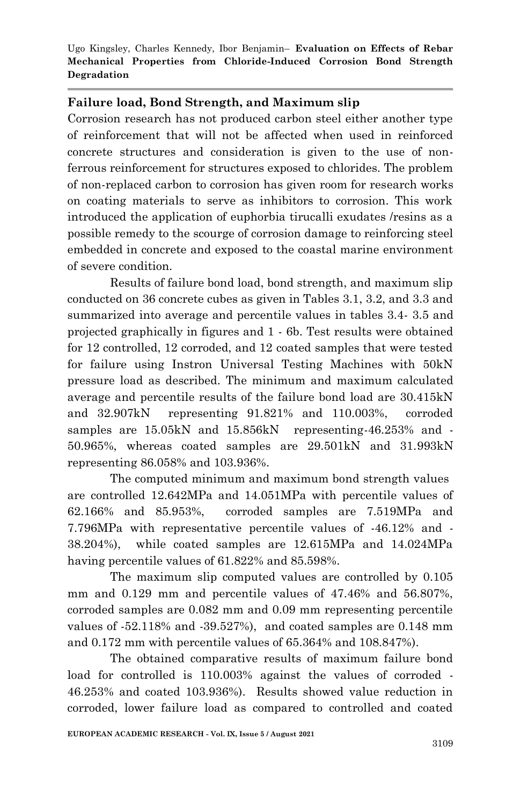# **Failure load, Bond Strength, and Maximum slip**

Corrosion research has not produced carbon steel either another type of reinforcement that will not be affected when used in reinforced concrete structures and consideration is given to the use of nonferrous reinforcement for structures exposed to chlorides. The problem of non-replaced carbon to corrosion has given room for research works on coating materials to serve as inhibitors to corrosion. This work introduced the application of euphorbia tirucalli exudates /resins as a possible remedy to the scourge of corrosion damage to reinforcing steel embedded in concrete and exposed to the coastal marine environment of severe condition.

Results of failure bond load, bond strength, and maximum slip conducted on 36 concrete cubes as given in Tables 3.1, 3.2, and 3.3 and summarized into average and percentile values in tables 3.4- 3.5 and projected graphically in figures and 1 - 6b. Test results were obtained for 12 controlled, 12 corroded, and 12 coated samples that were tested for failure using Instron Universal Testing Machines with 50kN pressure load as described. The minimum and maximum calculated average and percentile results of the failure bond load are 30.415kN and 32.907kN representing 91.821% and 110.003%, corroded samples are 15.05kN and 15.856kN representing-46.253% and - 50.965%, whereas coated samples are 29.501kN and 31.993kN representing 86.058% and 103.936%.

The computed minimum and maximum bond strength values are controlled 12.642MPa and 14.051MPa with percentile values of 62.166% and 85.953%, corroded samples are 7.519MPa and 7.796MPa with representative percentile values of -46.12% and - 38.204%), while coated samples are 12.615MPa and 14.024MPa having percentile values of 61.822% and 85.598%.

The maximum slip computed values are controlled by 0.105 mm and 0.129 mm and percentile values of 47.46% and 56.807%, corroded samples are 0.082 mm and 0.09 mm representing percentile values of -52.118% and -39.527%), and coated samples are 0.148 mm and 0.172 mm with percentile values of 65.364% and 108.847%).

The obtained comparative results of maximum failure bond load for controlled is 110.003% against the values of corroded - 46.253% and coated 103.936%). Results showed value reduction in corroded, lower failure load as compared to controlled and coated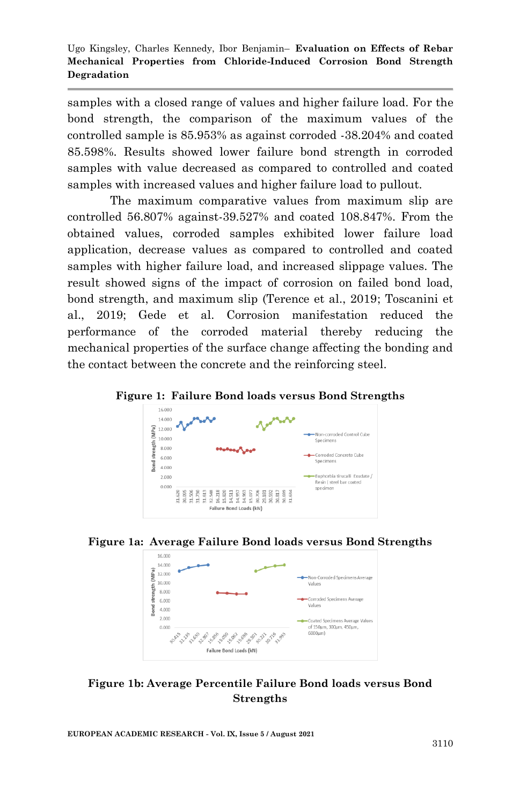samples with a closed range of values and higher failure load. For the bond strength, the comparison of the maximum values of the controlled sample is 85.953% as against corroded -38.204% and coated 85.598%. Results showed lower failure bond strength in corroded samples with value decreased as compared to controlled and coated samples with increased values and higher failure load to pullout.

The maximum comparative values from maximum slip are controlled 56.807% against-39.527% and coated 108.847%. From the obtained values, corroded samples exhibited lower failure load application, decrease values as compared to controlled and coated samples with higher failure load, and increased slippage values. The result showed signs of the impact of corrosion on failed bond load, bond strength, and maximum slip (Terence et al., 2019; Toscanini et al., 2019; Gede et al. Corrosion manifestation reduced the performance of the corroded material thereby reducing the mechanical properties of the surface change affecting the bonding and the contact between the concrete and the reinforcing steel.









### **Figure 1b: Average Percentile Failure Bond loads versus Bond Strengths**

**EUROPEAN ACADEMIC RESEARCH - Vol. IX, Issue 5 / August 2021**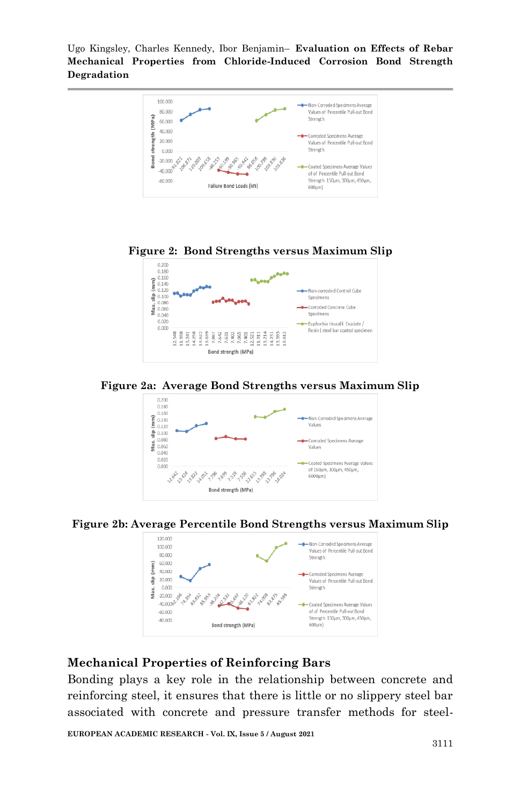











# **Mechanical Properties of Reinforcing Bars**

Bonding plays a key role in the relationship between concrete and reinforcing steel, it ensures that there is little or no slippery steel bar associated with concrete and pressure transfer methods for steel-

**EUROPEAN ACADEMIC RESEARCH - Vol. IX, Issue 5 / August 2021**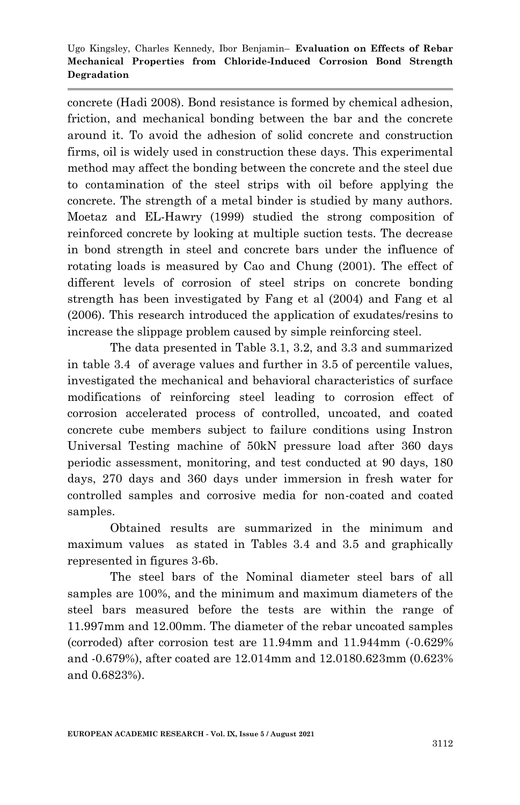concrete (Hadi 2008). Bond resistance is formed by chemical adhesion, friction, and mechanical bonding between the bar and the concrete around it. To avoid the adhesion of solid concrete and construction firms, oil is widely used in construction these days. This experimental method may affect the bonding between the concrete and the steel due to contamination of the steel strips with oil before applying the concrete. The strength of a metal binder is studied by many authors. Moetaz and EL-Hawry (1999) studied the strong composition of reinforced concrete by looking at multiple suction tests. The decrease in bond strength in steel and concrete bars under the influence of rotating loads is measured by Cao and Chung (2001). The effect of different levels of corrosion of steel strips on concrete bonding strength has been investigated by Fang et al (2004) and Fang et al (2006). This research introduced the application of exudates/resins to increase the slippage problem caused by simple reinforcing steel.

The data presented in Table 3.1, 3.2, and 3.3 and summarized in table 3.4 of average values and further in 3.5 of percentile values, investigated the mechanical and behavioral characteristics of surface modifications of reinforcing steel leading to corrosion effect of corrosion accelerated process of controlled, uncoated, and coated concrete cube members subject to failure conditions using Instron Universal Testing machine of 50kN pressure load after 360 days periodic assessment, monitoring, and test conducted at 90 days, 180 days, 270 days and 360 days under immersion in fresh water for controlled samples and corrosive media for non-coated and coated samples.

Obtained results are summarized in the minimum and maximum values as stated in Tables 3.4 and 3.5 and graphically represented in figures 3-6b.

The steel bars of the Nominal diameter steel bars of all samples are 100%, and the minimum and maximum diameters of the steel bars measured before the tests are within the range of 11.997mm and 12.00mm. The diameter of the rebar uncoated samples (corroded) after corrosion test are 11.94mm and 11.944mm (-0.629% and -0.679%), after coated are 12.014mm and 12.0180.623mm (0.623% and 0.6823%).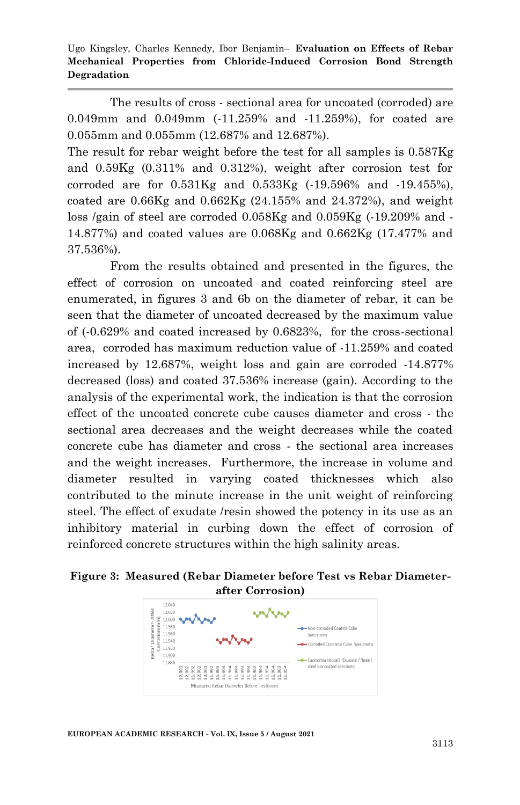The results of cross - sectional area for uncoated (corroded) are 0.049mm and 0.049mm (-11.259% and -11.259%), for coated are 0.055mm and 0.055mm (12.687% and 12.687%).

The result for rebar weight before the test for all samples is 0.587Kg and 0.59Kg (0.311% and 0.312%), weight after corrosion test for corroded are for 0.531Kg and 0.533Kg (-19.596% and -19.455%), coated are 0.66Kg and 0.662Kg (24.155% and 24.372%), and weight loss /gain of steel are corroded 0.058Kg and 0.059Kg (-19.209% and - 14.877%) and coated values are 0.068Kg and 0.662Kg (17.477% and 37.536%).

From the results obtained and presented in the figures, the effect of corrosion on uncoated and coated reinforcing steel are enumerated, in figures 3 and 6b on the diameter of rebar, it can be seen that the diameter of uncoated decreased by the maximum value of (-0.629% and coated increased by 0.6823%, for the cross-sectional area, corroded has maximum reduction value of -11.259% and coated increased by 12.687%, weight loss and gain are corroded -14.877% decreased (loss) and coated 37.536% increase (gain). According to the analysis of the experimental work, the indication is that the corrosion effect of the uncoated concrete cube causes diameter and cross - the sectional area decreases and the weight decreases while the coated concrete cube has diameter and cross - the sectional area increases and the weight increases. Furthermore, the increase in volume and diameter resulted in varying coated thicknesses which also contributed to the minute increase in the unit weight of reinforcing steel. The effect of exudate /resin showed the potency in its use as an inhibitory material in curbing down the effect of corrosion of reinforced concrete structures within the high salinity areas.

**Figure 3: Measured (Rebar Diameter before Test vs Rebar Diameterafter Corrosion)**

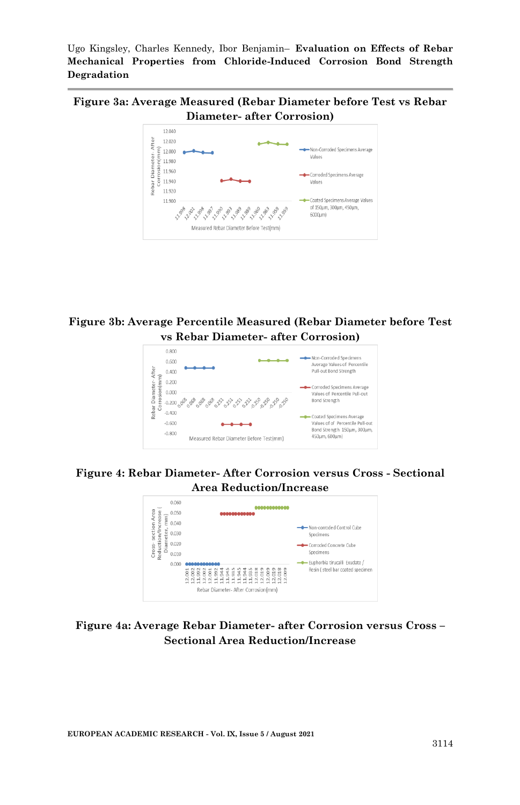**Figure 3a: Average Measured (Rebar Diameter before Test vs Rebar Diameter- after Corrosion)**



#### **Figure 3b: Average Percentile Measured (Rebar Diameter before Test vs Rebar Diameter- after Corrosion)**



#### **Figure 4: Rebar Diameter- After Corrosion versus Cross - Sectional Area Reduction/Increase**

| 0.060<br>0.050<br>έ                                                  |                                                                                   |                                                                   |
|----------------------------------------------------------------------|-----------------------------------------------------------------------------------|-------------------------------------------------------------------|
| section Area<br>Reduction/Increase<br>Ē<br>0.040<br>iameter<br>0.030 |                                                                                   | -O-Non-corroded Control Cube<br>Specimens                         |
| 0.020<br>Cross-<br>0.010                                             |                                                                                   | Corroded Concrete Cube<br>Specimens                               |
| 0.000                                                                | 5888583388388888888<br>3333333888<br>22122<br>Rebar Diameter- After Corrosion(mm) | - Euphorbia tirucalli Exudate<br>Resin (steel bar coated specimen |

#### **Figure 4a: Average Rebar Diameter- after Corrosion versus Cross – Sectional Area Reduction/Increase**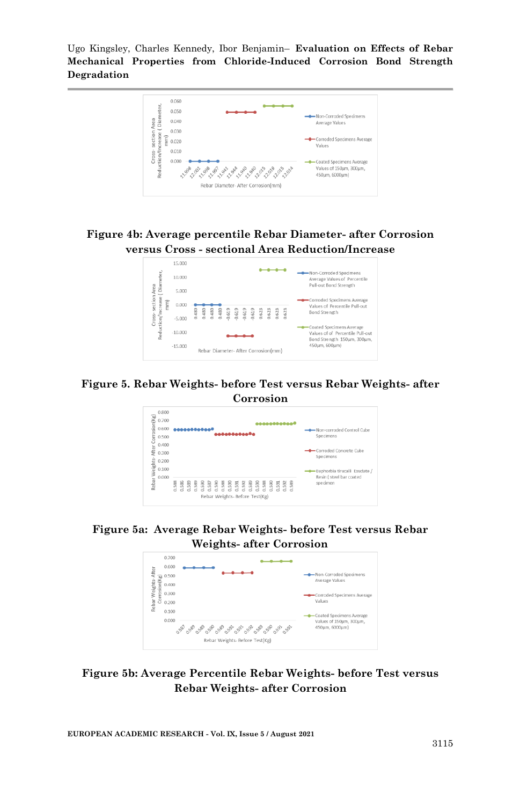

**Figure 4b: Average percentile Rebar Diameter- after Corrosion versus Cross - sectional Area Reduction/Increase**



#### **Figure 5. Rebar Weights- before Test versus Rebar Weights- after Corrosion**



**Figure 5a: Average Rebar Weights- before Test versus Rebar Weights- after Corrosion**



#### **Figure 5b: Average Percentile Rebar Weights- before Test versus Rebar Weights- after Corrosion**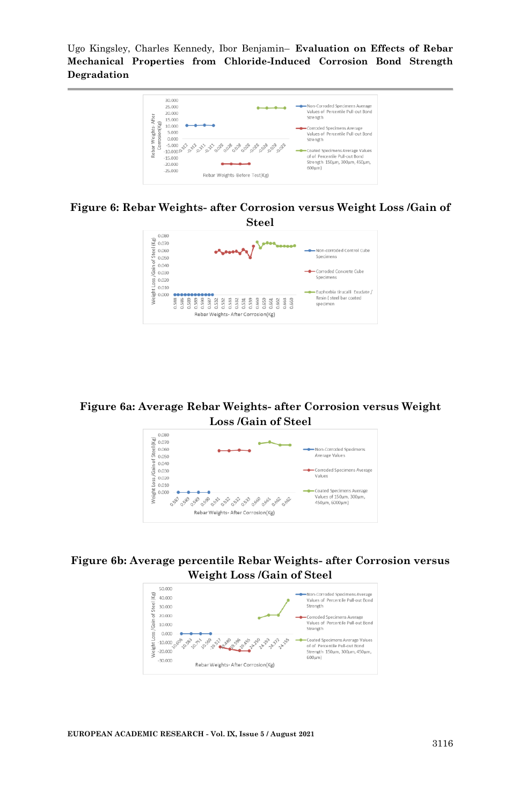

#### **Figure 6: Rebar Weights- after Corrosion versus Weight Loss /Gain of Steel**



#### **Figure 6a: Average Rebar Weights- after Corrosion versus Weight Loss /Gain of Steel**



#### **Figure 6b: Average percentile Rebar Weights- after Corrosion versus Weight Loss /Gain of Steel**

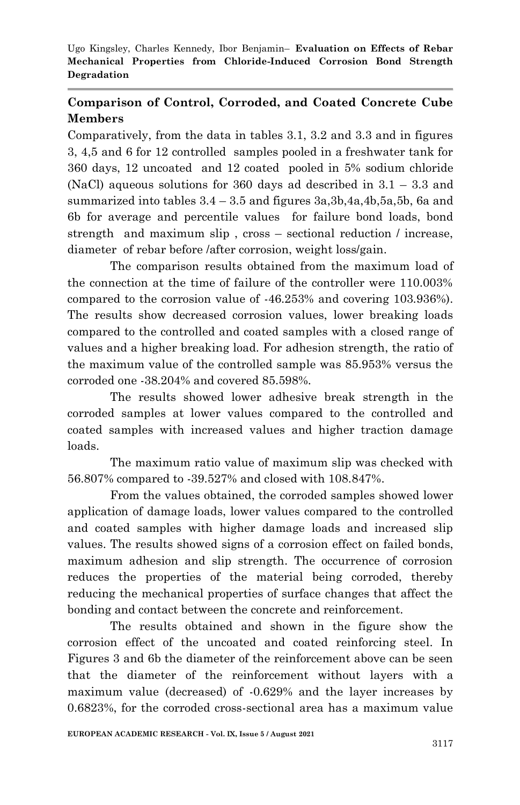# **Comparison of Control, Corroded, and Coated Concrete Cube Members**

Comparatively, from the data in tables 3.1, 3.2 and 3.3 and in figures 3, 4,5 and 6 for 12 controlled samples pooled in a freshwater tank for 360 days, 12 uncoated and 12 coated pooled in 5% sodium chloride (NaCl) aqueous solutions for 360 days ad described in 3.1 – 3.3 and summarized into tables  $3.4 - 3.5$  and figures  $3a,3b,4a,4b,5a,5b,6a$  and 6b for average and percentile values for failure bond loads, bond strength and maximum slip , cross – sectional reduction / increase, diameter of rebar before /after corrosion, weight loss/gain.

The comparison results obtained from the maximum load of the connection at the time of failure of the controller were 110.003% compared to the corrosion value of -46.253% and covering 103.936%). The results show decreased corrosion values, lower breaking loads compared to the controlled and coated samples with a closed range of values and a higher breaking load. For adhesion strength, the ratio of the maximum value of the controlled sample was 85.953% versus the corroded one -38.204% and covered 85.598%.

The results showed lower adhesive break strength in the corroded samples at lower values compared to the controlled and coated samples with increased values and higher traction damage loads.

The maximum ratio value of maximum slip was checked with 56.807% compared to -39.527% and closed with 108.847%.

From the values obtained, the corroded samples showed lower application of damage loads, lower values compared to the controlled and coated samples with higher damage loads and increased slip values. The results showed signs of a corrosion effect on failed bonds, maximum adhesion and slip strength. The occurrence of corrosion reduces the properties of the material being corroded, thereby reducing the mechanical properties of surface changes that affect the bonding and contact between the concrete and reinforcement.

The results obtained and shown in the figure show the corrosion effect of the uncoated and coated reinforcing steel. In Figures 3 and 6b the diameter of the reinforcement above can be seen that the diameter of the reinforcement without layers with a maximum value (decreased) of -0.629% and the layer increases by 0.6823%, for the corroded cross-sectional area has a maximum value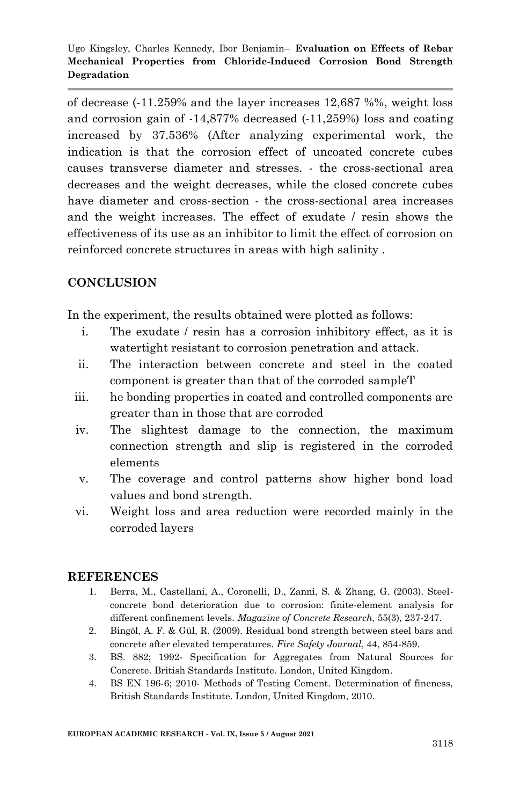of decrease (-11.259% and the layer increases 12,687 %%, weight loss and corrosion gain of -14,877% decreased (-11,259%) loss and coating increased by 37.536% (After analyzing experimental work, the indication is that the corrosion effect of uncoated concrete cubes causes transverse diameter and stresses. - the cross-sectional area decreases and the weight decreases, while the closed concrete cubes have diameter and cross-section - the cross-sectional area increases and the weight increases. The effect of exudate / resin shows the effectiveness of its use as an inhibitor to limit the effect of corrosion on reinforced concrete structures in areas with high salinity .

# **CONCLUSION**

In the experiment, the results obtained were plotted as follows:

- i. The exudate / resin has a corrosion inhibitory effect, as it is watertight resistant to corrosion penetration and attack.
- ii. The interaction between concrete and steel in the coated component is greater than that of the corroded sampleT
- iii. he bonding properties in coated and controlled components are greater than in those that are corroded
- iv. The slightest damage to the connection, the maximum connection strength and slip is registered in the corroded elements
- v. The coverage and control patterns show higher bond load values and bond strength.
- vi. Weight loss and area reduction were recorded mainly in the corroded layers

# **REFERENCES**

- 1. Berra, M., Castellani, A., Coronelli, D., Zanni, S. & Zhang, G. (2003). Steelconcrete bond deterioration due to corrosion: finite-element analysis for different confinement levels. *Magazine of Concrete Research,* 55(3), 237-247.
- 2. Bingӧl, A. F. & Gül, R. (2009). Residual bond strength between steel bars and concrete after elevated temperatures. *Fire Safety Journal*, 44, 854-859.
- 3. BS. 882; 1992- Specification for Aggregates from Natural Sources for Concrete. British Standards Institute. London, United Kingdom.
- 4. BS EN 196-6; 2010- Methods of Testing Cement. Determination of fineness, British Standards Institute. London, United Kingdom, 2010.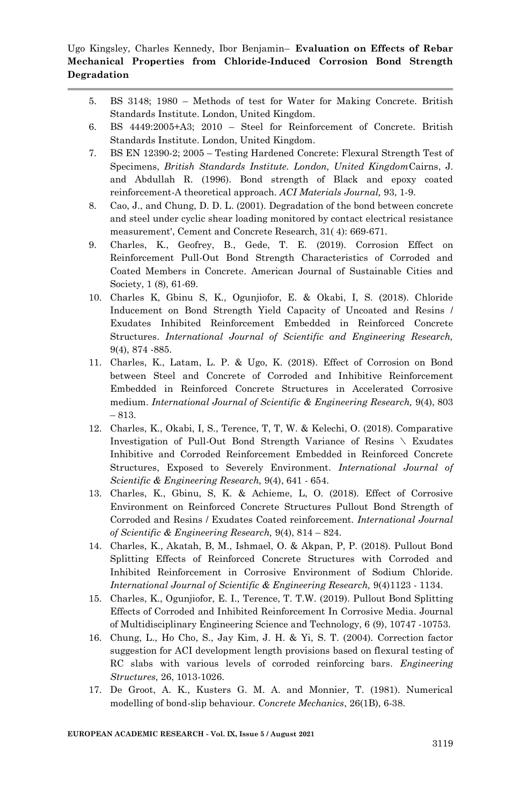- 5. BS 3148; 1980 Methods of test for Water for Making Concrete. British Standards Institute. London, United Kingdom.
- 6. BS 4449:2005+A3; 2010 Steel for Reinforcement of Concrete. British Standards Institute. London, United Kingdom.
- 7. BS EN 12390-2; 2005 Testing Hardened Concrete: Flexural Strength Test of Specimens, *British Standards Institute. London, United Kingdom*Cairns, J. and Abdullah R. (1996). Bond strength of Black and epoxy coated reinforcement-A theoretical approach. *ACI Materials Journal,* 93, 1-9.
- 8. Cao, J., and Chung, D. D. L. (2001). Degradation of the bond between concrete and steel under cyclic shear loading monitored by contact electrical resistance measurement', Cement and Concrete Research, 31( 4): 669-671.
- 9. Charles, K., Geofrey, B., Gede, T. E. (2019). Corrosion Effect on Reinforcement Pull-Out Bond Strength Characteristics of Corroded and Coated Members in Concrete. American Journal of Sustainable Cities and Society, 1 (8), 61-69.
- 10. Charles K, Gbinu S, K., Ogunjiofor, E. & Okabi, I, S. (2018). Chloride Inducement on Bond Strength Yield Capacity of Uncoated and Resins / Exudates Inhibited Reinforcement Embedded in Reinforced Concrete Structures. *International Journal of Scientific and Engineering Research,*  9(4), 874 -885.
- 11. Charles, K., Latam, L. P. & Ugo, K. (2018). Effect of Corrosion on Bond between Steel and Concrete of Corroded and Inhibitive Reinforcement Embedded in Reinforced Concrete Structures in Accelerated Corrosive medium. *International Journal of Scientific & Engineering Research,* 9(4), 803 – 813.
- 12. Charles, K., Okabi, I, S., Terence, T, T, W. & Kelechi, O. (2018). Comparative Investigation of Pull-Out Bond Strength Variance of Resins \ Exudates Inhibitive and Corroded Reinforcement Embedded in Reinforced Concrete Structures, Exposed to Severely Environment. *International Journal of Scientific & Engineering Research,* 9(4), 641 - 654.
- 13. Charles, K., Gbinu, S, K. & Achieme, L, O. (2018). Effect of Corrosive Environment on Reinforced Concrete Structures Pullout Bond Strength of Corroded and Resins / Exudates Coated reinforcement. *International Journal of Scientific & Engineering Research,* 9(4), 814 – 824.
- 14. Charles, K., Akatah, B, M., Ishmael, O. & Akpan, P, P. (2018). Pullout Bond Splitting Effects of Reinforced Concrete Structures with Corroded and Inhibited Reinforcement in Corrosive Environment of Sodium Chloride. *International Journal of Scientific & Engineering Research,* 9(4)1123 - 1134.
- 15. Charles, K., Ogunjiofor, E. I., Terence, T. T.W. (2019). Pullout Bond Splitting Effects of Corroded and Inhibited Reinforcement In Corrosive Media. Journal of Multidisciplinary Engineering Science and Technology, 6 (9), 10747 -10753.
- 16. Chung, L., Ho Cho, S., Jay Kim, J. H. & Yi, S. T. (2004). Correction factor suggestion for ACI development length provisions based on flexural testing of RC slabs with various levels of corroded reinforcing bars. *Engineering Structures,* 26, 1013-1026.
- 17. De Groot, A. K., Kusters G. M. A. and Monnier, T. (1981). Numerical modelling of bond-slip behaviour. *Concrete Mechanics*, 26(1B), 6-38.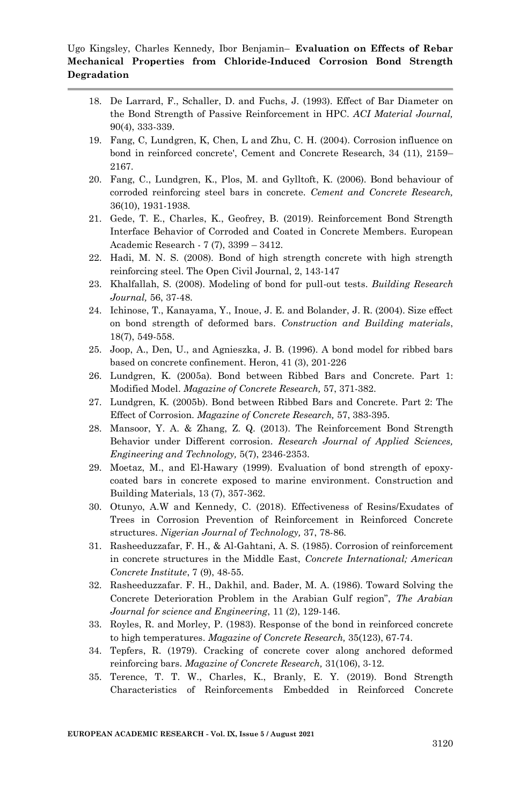- 18. De Larrard, F., Schaller, D. and Fuchs, J. (1993). Effect of Bar Diameter on the Bond Strength of Passive Reinforcement in HPC. *ACI Material Journal,*  90(4), 333-339.
- 19. Fang, C, Lundgren, K, Chen, L and Zhu, C. H. (2004). Corrosion influence on bond in reinforced concrete', Cement and Concrete Research, 34 (11), 2159– 2167.
- 20. Fang, C., Lundgren, K., Plos, M. and Gylltoft, K. (2006). Bond behaviour of corroded reinforcing steel bars in concrete. *Cement and Concrete Research,*  36(10), 1931-1938.
- 21. Gede, T. E., Charles, K., Geofrey, B. (2019). Reinforcement Bond Strength Interface Behavior of Corroded and Coated in Concrete Members. European Academic Research - 7 (7), 3399 – 3412.
- 22. Hadi, M. N. S. (2008). Bond of high strength concrete with high strength reinforcing steel. The Open Civil Journal, 2, 143-147
- 23. Khalfallah, S. (2008). Modeling of bond for pull-out tests. *Building Research Journal,* 56, 37-48.
- 24. Ichinose, T., Kanayama, Y., Inoue, J. E. and Bolander, J. R. (2004). Size effect on bond strength of deformed bars. *Construction and Building materials*, 18(7), 549-558.
- 25. Joop, A., Den, U., and Agnieszka, J. B. (1996). A bond model for ribbed bars based on concrete confinement. Heron, 41 (3), 201-226
- 26. Lundgren, K. (2005a). Bond between Ribbed Bars and Concrete. Part 1: Modified Model. *Magazine of Concrete Research,* 57, 371-382.
- 27. Lundgren, K. (2005b). Bond between Ribbed Bars and Concrete. Part 2: The Effect of Corrosion. *Magazine of Concrete Research,* 57, 383-395.
- 28. Mansoor, Y. A. & Zhang, Z. Q. (2013). The Reinforcement Bond Strength Behavior under Different corrosion. *Research Journal of Applied Sciences, Engineering and Technology,* 5(7), 2346-2353.
- 29. Moetaz, M., and El-Hawary (1999). Evaluation of bond strength of epoxycoated bars in concrete exposed to marine environment. Construction and Building Materials, 13 (7), 357-362.
- 30. Otunyo, A.W and Kennedy, C. (2018). Effectiveness of Resins/Exudates of Trees in Corrosion Prevention of Reinforcement in Reinforced Concrete structures. *Nigerian Journal of Technology,* 37, 78-86.
- 31. Rasheeduzzafar, F. H., & Al-Gahtani, A. S. (1985). Corrosion of reinforcement in concrete structures in the Middle East, *Concrete International; American Concrete Institute*, 7 (9), 48-55.
- 32. Rasheeduzzafar. F. H., Dakhil, and. Bader, M. A. (1986). Toward Solving the Concrete Deterioration Problem in the Arabian Gulf region", *The Arabian Journal for science and Engineering*, 11 (2), 129-146.
- 33. Royles, R. and Morley, P. (1983). Response of the bond in reinforced concrete to high temperatures. *Magazine of Concrete Research,* 35(123), 67-74.
- 34. Tepfers, R. (1979). Cracking of concrete cover along anchored deformed reinforcing bars. *Magazine of Concrete Research,* 31(106), 3-12.
- 35. Terence, T. T. W., Charles, K., Branly, E. Y. (2019). Bond Strength Characteristics of Reinforcements Embedded in Reinforced Concrete